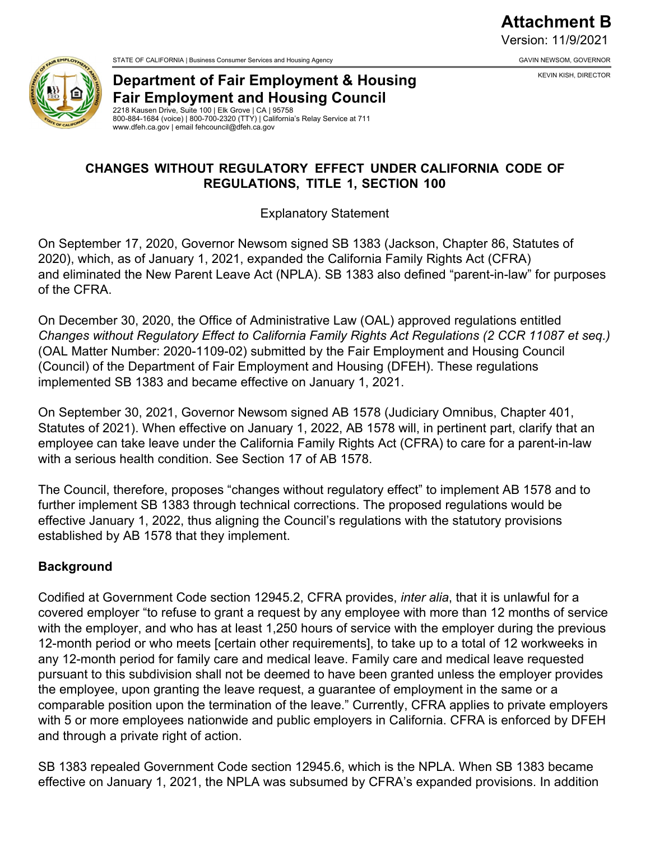**Attachment B** Version: 11/9/2021

KEVIN KISH, DIRECTOR



STATE OF CALIFORNIA | Business Consumer Services and Housing Agency GAVIN NEWSOM, GOVERNOR GAVIN NEWSOM, GOVERNOR

**Department of Fair Employment & Housing Fair Employment and Housing Council** 

2218 Kausen Drive, Suite 100 | Elk Grove | CA | 95758 800-884-1684 (voice) | 800-700-2320 (TTY) | California's Relay Service at 711 www.dfeh.ca.gov | email fehcouncil@dfeh.ca.gov

## **CHANGES WITHOUT REGULATORY EFFECT UNDER CALIFORNIA CODE OF REGULATIONS, TITLE 1, SECTION 100**

Explanatory Statement

On September 17, 2020, Governor Newsom signed SB 1383 (Jackson, Chapter 86, Statutes of 2020), which, as of January 1, 2021, expanded the California Family Rights Act (CFRA) and eliminated the New Parent Leave Act (NPLA). SB 1383 also defined "parent-in-law" for purposes of the CFRA.

On December 30, 2020, the Office of Administrative Law (OAL) approved regulations entitled *Changes without Regulatory Effect to California Family Rights Act Regulations (2 CCR 11087 et seq.)* (OAL Matter Number: 2020-1109-02) submitted by the Fair Employment and Housing Council (Council) of the Department of Fair Employment and Housing (DFEH). These regulations implemented SB 1383 and became effective on January 1, 2021.

On September 30, 2021, Governor Newsom signed AB 1578 (Judiciary Omnibus, Chapter 401, Statutes of 2021). When effective on January 1, 2022, AB 1578 will, in pertinent part, clarify that an employee can take leave under the California Family Rights Act (CFRA) to care for a parent-in-law with a serious health condition. See Section 17 of AB 1578.

The Council, therefore, proposes "changes without regulatory effect" to implement AB 1578 and to further implement SB 1383 through technical corrections. The proposed regulations would be effective January 1, 2022, thus aligning the Council's regulations with the statutory provisions established by AB 1578 that they implement.

## **Background**

Codified at Government Code section 12945.2, CFRA provides, *inter alia*, that it is unlawful for a covered employer "to refuse to grant a request by any employee with more than 12 months of service with the employer, and who has at least 1,250 hours of service with the employer during the previous 12-month period or who meets [certain other requirements], to take up to a total of 12 workweeks in any 12-month period for family care and medical leave. Family care and medical leave requested pursuant to this subdivision shall not be deemed to have been granted unless the employer provides the employee, upon granting the leave request, a guarantee of employment in the same or a comparable position upon the termination of the leave." Currently, CFRA applies to private employers with 5 or more employees nationwide and public employers in California. CFRA is enforced by DFEH and through a private right of action.

SB 1383 repealed Government Code section 12945.6, which is the NPLA. When SB 1383 became effective on January 1, 2021, the NPLA was subsumed by CFRA's expanded provisions. In addition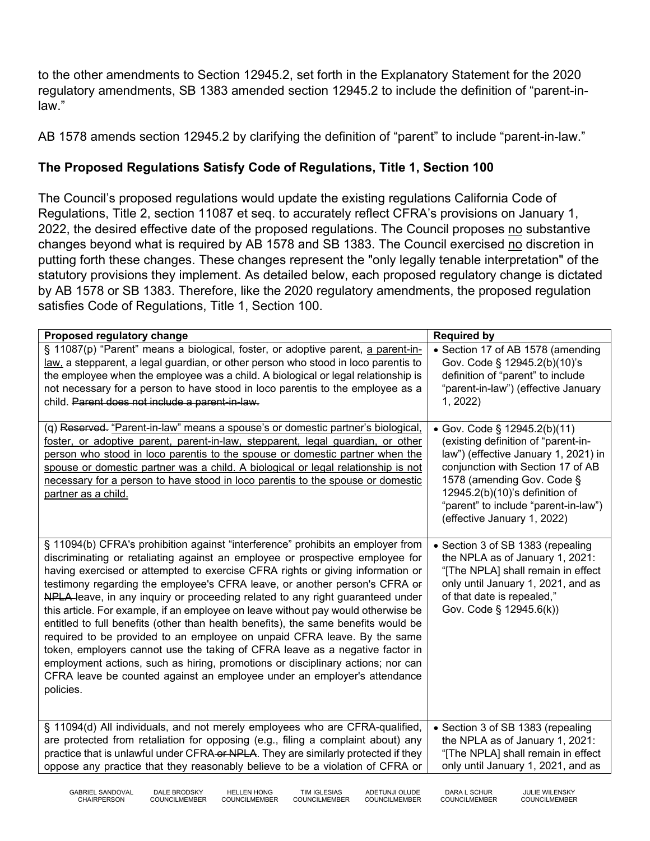to the other amendments to Section 12945.2, set forth in the Explanatory Statement for the 2020 regulatory amendments, SB 1383 amended section 12945.2 to include the definition of "parent-inlaw."

AB 1578 amends section 12945.2 by clarifying the definition of "parent" to include "parent-in-law."

## **The Proposed Regulations Satisfy Code of Regulations, Title 1, Section 100**

The Council's proposed regulations would update the existing regulations California Code of Regulations, Title 2, section 11087 et seq. to accurately reflect CFRA's provisions on January 1, 2022, the desired effective date of the proposed regulations. The Council proposes no substantive changes beyond what is required by AB 1578 and SB 1383. The Council exercised no discretion in putting forth these changes. These changes represent the "only legally tenable interpretation" of the statutory provisions they implement. As detailed below, each proposed regulatory change is dictated by AB 1578 or SB 1383. Therefore, like the 2020 regulatory amendments, the proposed regulation satisfies Code of Regulations, Title 1, Section 100.

| Proposed regulatory change                                                                                                                                                                                                                                                                                                                                                                                                                                                                                                                                                                                                                                                                                                                                                                                                                                                                                                            | <b>Required by</b>                                                                                                                                                                                                                                                                      |
|---------------------------------------------------------------------------------------------------------------------------------------------------------------------------------------------------------------------------------------------------------------------------------------------------------------------------------------------------------------------------------------------------------------------------------------------------------------------------------------------------------------------------------------------------------------------------------------------------------------------------------------------------------------------------------------------------------------------------------------------------------------------------------------------------------------------------------------------------------------------------------------------------------------------------------------|-----------------------------------------------------------------------------------------------------------------------------------------------------------------------------------------------------------------------------------------------------------------------------------------|
| § 11087(p) "Parent" means a biological, foster, or adoptive parent, a parent-in-<br>law, a stepparent, a legal guardian, or other person who stood in loco parentis to<br>the employee when the employee was a child. A biological or legal relationship is<br>not necessary for a person to have stood in loco parentis to the employee as a<br>child. Parent does not include a parent-in-law.                                                                                                                                                                                                                                                                                                                                                                                                                                                                                                                                      | • Section 17 of AB 1578 (amending<br>Gov. Code § 12945.2(b)(10)'s<br>definition of "parent" to include<br>"parent-in-law") (effective January<br>1, 2022                                                                                                                                |
| (q) Reserved. "Parent-in-law" means a spouse's or domestic partner's biological,<br>foster, or adoptive parent, parent-in-law, stepparent, legal guardian, or other<br>person who stood in loco parentis to the spouse or domestic partner when the<br>spouse or domestic partner was a child. A biological or legal relationship is not<br>necessary for a person to have stood in loco parentis to the spouse or domestic<br>partner as a child.                                                                                                                                                                                                                                                                                                                                                                                                                                                                                    | • Gov. Code § 12945.2(b)(11)<br>(existing definition of "parent-in-<br>law") (effective January 1, 2021) in<br>conjunction with Section 17 of AB<br>1578 (amending Gov. Code §<br>12945.2(b)(10)'s definition of<br>"parent" to include "parent-in-law")<br>(effective January 1, 2022) |
| § 11094(b) CFRA's prohibition against "interference" prohibits an employer from<br>discriminating or retaliating against an employee or prospective employee for<br>having exercised or attempted to exercise CFRA rights or giving information or<br>testimony regarding the employee's CFRA leave, or another person's CFRA or<br>NPLA-leave, in any inquiry or proceeding related to any right guaranteed under<br>this article. For example, if an employee on leave without pay would otherwise be<br>entitled to full benefits (other than health benefits), the same benefits would be<br>required to be provided to an employee on unpaid CFRA leave. By the same<br>token, employers cannot use the taking of CFRA leave as a negative factor in<br>employment actions, such as hiring, promotions or disciplinary actions; nor can<br>CFRA leave be counted against an employee under an employer's attendance<br>policies. | • Section 3 of SB 1383 (repealing<br>the NPLA as of January 1, 2021:<br>"[The NPLA] shall remain in effect<br>only until January 1, 2021, and as<br>of that date is repealed,"<br>Gov. Code § 12945.6(k))                                                                               |
| § 11094(d) All individuals, and not merely employees who are CFRA-qualified,<br>are protected from retaliation for opposing (e.g., filing a complaint about) any<br>practice that is unlawful under CFRA-or NPLA. They are similarly protected if they<br>oppose any practice that they reasonably believe to be a violation of CFRA or                                                                                                                                                                                                                                                                                                                                                                                                                                                                                                                                                                                               | • Section 3 of SB 1383 (repealing<br>the NPLA as of January 1, 2021:<br>"[The NPLA] shall remain in effect<br>only until January 1, 2021, and as                                                                                                                                        |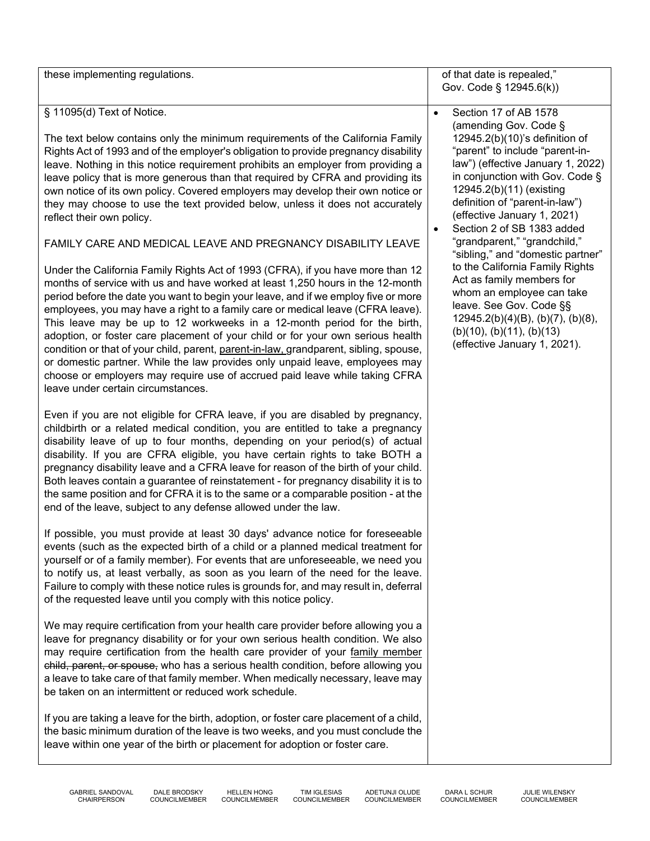| § 11095(d) Text of Notice.<br>The text below contains only the minimum requirements of the California Family<br>Rights Act of 1993 and of the employer's obligation to provide pregnancy disability<br>leave. Nothing in this notice requirement prohibits an employer from providing a<br>leave policy that is more generous than that required by CFRA and providing its<br>own notice of its own policy. Covered employers may develop their own notice or<br>they may choose to use the text provided below, unless it does not accurately<br>reflect their own policy.<br>FAMILY CARE AND MEDICAL LEAVE AND PREGNANCY DISABILITY LEAVE<br>Under the California Family Rights Act of 1993 (CFRA), if you have more than 12<br>months of service with us and have worked at least 1,250 hours in the 12-month<br>period before the date you want to begin your leave, and if we employ five or more<br>employees, you may have a right to a family care or medical leave (CFRA leave).<br>This leave may be up to 12 workweeks in a 12-month period for the birth,<br>adoption, or foster care placement of your child or for your own serious health<br>condition or that of your child, parent, parent-in-law, grandparent, sibling, spouse,<br>or domestic partner. While the law provides only unpaid leave, employees may<br>choose or employers may require use of accrued paid leave while taking CFRA<br>leave under certain circumstances.<br>Even if you are not eligible for CFRA leave, if you are disabled by pregnancy,<br>childbirth or a related medical condition, you are entitled to take a pregnancy<br>disability leave of up to four months, depending on your period(s) of actual<br>disability. If you are CFRA eligible, you have certain rights to take BOTH a<br>pregnancy disability leave and a CFRA leave for reason of the birth of your child.<br>Both leaves contain a guarantee of reinstatement - for pregnancy disability it is to<br>the same position and for CFRA it is to the same or a comparable position - at the<br>end of the leave, subject to any defense allowed under the law.<br>If possible, you must provide at least 30 days' advance notice for foreseeable<br>events (such as the expected birth of a child or a planned medical treatment for<br>yourself or of a family member). For events that are unforeseeable, we need you<br>to notify us, at least verbally, as soon as you learn of the need for the leave.<br>Failure to comply with these notice rules is grounds for, and may result in, deferral<br>of the requested leave until you comply with this notice policy.<br>We may require certification from your health care provider before allowing you a<br>leave for pregnancy disability or for your own serious health condition. We also<br>may require certification from the health care provider of your family member<br>child, parent, or spouse, who has a serious health condition, before allowing you<br>a leave to take care of that family member. When medically necessary, leave may<br>be taken on an intermittent or reduced work schedule.<br>If you are taking a leave for the birth, adoption, or foster care placement of a child,<br>the basic minimum duration of the leave is two weeks, and you must conclude the<br>leave within one year of the birth or placement for adoption or foster care. | Section 17 of AB 1578<br>$\bullet$<br>(amending Gov. Code §<br>12945.2(b)(10)'s definition of<br>"parent" to include "parent-in-<br>law") (effective January 1, 2022)<br>in conjunction with Gov. Code §<br>12945.2(b)(11) (existing<br>definition of "parent-in-law")<br>(effective January 1, 2021)<br>Section 2 of SB 1383 added<br>$\bullet$<br>"grandparent," "grandchild,"<br>"sibling," and "domestic partner"<br>to the California Family Rights<br>Act as family members for<br>whom an employee can take<br>leave. See Gov. Code §§<br>$12945.2(b)(4)(B)$ , (b)(7), (b)(8),<br>(b)(10), (b)(11), (b)(13)<br>(effective January 1, 2021). |
|-------------------------------------------------------------------------------------------------------------------------------------------------------------------------------------------------------------------------------------------------------------------------------------------------------------------------------------------------------------------------------------------------------------------------------------------------------------------------------------------------------------------------------------------------------------------------------------------------------------------------------------------------------------------------------------------------------------------------------------------------------------------------------------------------------------------------------------------------------------------------------------------------------------------------------------------------------------------------------------------------------------------------------------------------------------------------------------------------------------------------------------------------------------------------------------------------------------------------------------------------------------------------------------------------------------------------------------------------------------------------------------------------------------------------------------------------------------------------------------------------------------------------------------------------------------------------------------------------------------------------------------------------------------------------------------------------------------------------------------------------------------------------------------------------------------------------------------------------------------------------------------------------------------------------------------------------------------------------------------------------------------------------------------------------------------------------------------------------------------------------------------------------------------------------------------------------------------------------------------------------------------------------------------------------------------------------------------------------------------------------------------------------------------------------------------------------------------------------------------------------------------------------------------------------------------------------------------------------------------------------------------------------------------------------------------------------------------------------------------------------------------------------------------------------------------------------------------------------------------------------------------------------------------------------------------------------------------------------------------------------------------------------------------------------------------------------------------------------------------------------------------------------------------------------------------------------------------------------------------------------------------------------------------------------------------------------------------------------------------------------------------------------------|----------------------------------------------------------------------------------------------------------------------------------------------------------------------------------------------------------------------------------------------------------------------------------------------------------------------------------------------------------------------------------------------------------------------------------------------------------------------------------------------------------------------------------------------------------------------------------------------------------------------------------------------------|

GABRIEL SANDOVAL DALE BRODSKY HELLEN HONG TIM IGLESIAS ADETUNJI OLUDE DARA L SCHUR JULIE WILENSKY

HELLEN HONG<br>COUNCILMEMBER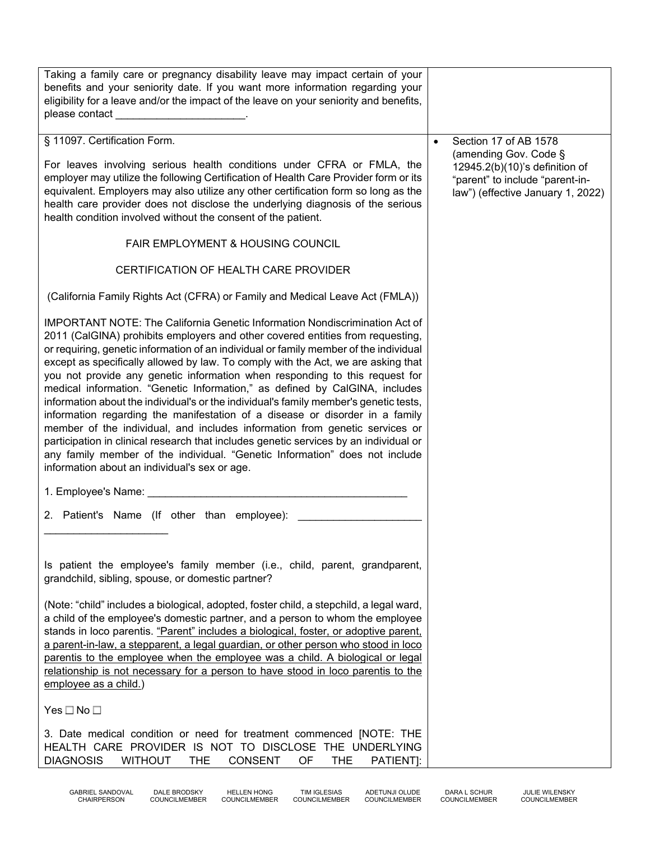| Taking a family care or pregnancy disability leave may impact certain of your<br>benefits and your seniority date. If you want more information regarding your<br>eligibility for a leave and/or the impact of the leave on your seniority and benefits,<br>please contact<br>the contract of the contract of the contract of                                                                                                                                                                                                                                                                                                                                                                                                                                                                                                                                                                                                                                                                     |                                                                                                                                 |
|---------------------------------------------------------------------------------------------------------------------------------------------------------------------------------------------------------------------------------------------------------------------------------------------------------------------------------------------------------------------------------------------------------------------------------------------------------------------------------------------------------------------------------------------------------------------------------------------------------------------------------------------------------------------------------------------------------------------------------------------------------------------------------------------------------------------------------------------------------------------------------------------------------------------------------------------------------------------------------------------------|---------------------------------------------------------------------------------------------------------------------------------|
| § 11097. Certification Form.                                                                                                                                                                                                                                                                                                                                                                                                                                                                                                                                                                                                                                                                                                                                                                                                                                                                                                                                                                      | Section 17 of AB 1578                                                                                                           |
| For leaves involving serious health conditions under CFRA or FMLA, the<br>employer may utilize the following Certification of Health Care Provider form or its<br>equivalent. Employers may also utilize any other certification form so long as the<br>health care provider does not disclose the underlying diagnosis of the serious<br>health condition involved without the consent of the patient.                                                                                                                                                                                                                                                                                                                                                                                                                                                                                                                                                                                           | (amending Gov. Code §<br>12945.2(b)(10)'s definition of<br>"parent" to include "parent-in-<br>law") (effective January 1, 2022) |
| FAIR EMPLOYMENT & HOUSING COUNCIL                                                                                                                                                                                                                                                                                                                                                                                                                                                                                                                                                                                                                                                                                                                                                                                                                                                                                                                                                                 |                                                                                                                                 |
| CERTIFICATION OF HEALTH CARE PROVIDER                                                                                                                                                                                                                                                                                                                                                                                                                                                                                                                                                                                                                                                                                                                                                                                                                                                                                                                                                             |                                                                                                                                 |
| (California Family Rights Act (CFRA) or Family and Medical Leave Act (FMLA))                                                                                                                                                                                                                                                                                                                                                                                                                                                                                                                                                                                                                                                                                                                                                                                                                                                                                                                      |                                                                                                                                 |
| <b>IMPORTANT NOTE: The California Genetic Information Nondiscrimination Act of</b><br>2011 (CalGINA) prohibits employers and other covered entities from requesting,<br>or requiring, genetic information of an individual or family member of the individual<br>except as specifically allowed by law. To comply with the Act, we are asking that<br>you not provide any genetic information when responding to this request for<br>medical information. "Genetic Information," as defined by CalGINA, includes<br>information about the individual's or the individual's family member's genetic tests,<br>information regarding the manifestation of a disease or disorder in a family<br>member of the individual, and includes information from genetic services or<br>participation in clinical research that includes genetic services by an individual or<br>any family member of the individual. "Genetic Information" does not include<br>information about an individual's sex or age. |                                                                                                                                 |
| 1. Employee's Name:                                                                                                                                                                                                                                                                                                                                                                                                                                                                                                                                                                                                                                                                                                                                                                                                                                                                                                                                                                               |                                                                                                                                 |
| 2. Patient's Name (If other than employee):                                                                                                                                                                                                                                                                                                                                                                                                                                                                                                                                                                                                                                                                                                                                                                                                                                                                                                                                                       |                                                                                                                                 |
| Is patient the employee's family member (i.e., child, parent, grandparent,<br>grandchild, sibling, spouse, or domestic partner?                                                                                                                                                                                                                                                                                                                                                                                                                                                                                                                                                                                                                                                                                                                                                                                                                                                                   |                                                                                                                                 |
| (Note: "child" includes a biological, adopted, foster child, a stepchild, a legal ward,<br>a child of the employee's domestic partner, and a person to whom the employee<br>stands in loco parentis. "Parent" includes a biological, foster, or adoptive parent,<br>a parent-in-law, a stepparent, a legal guardian, or other person who stood in loco<br>parentis to the employee when the employee was a child. A biological or legal<br>relationship is not necessary for a person to have stood in loco parentis to the<br>employee as a child.)                                                                                                                                                                                                                                                                                                                                                                                                                                              |                                                                                                                                 |
| Yes□No□                                                                                                                                                                                                                                                                                                                                                                                                                                                                                                                                                                                                                                                                                                                                                                                                                                                                                                                                                                                           |                                                                                                                                 |
| 3. Date medical condition or need for treatment commenced [NOTE: THE<br>HEALTH CARE PROVIDER IS NOT TO DISCLOSE THE UNDERLYING<br><b>DIAGNOSIS</b><br><b>WITHOUT</b><br><b>THE</b><br><b>CONSENT</b><br>OF<br>PATIENT]:<br>THE                                                                                                                                                                                                                                                                                                                                                                                                                                                                                                                                                                                                                                                                                                                                                                    |                                                                                                                                 |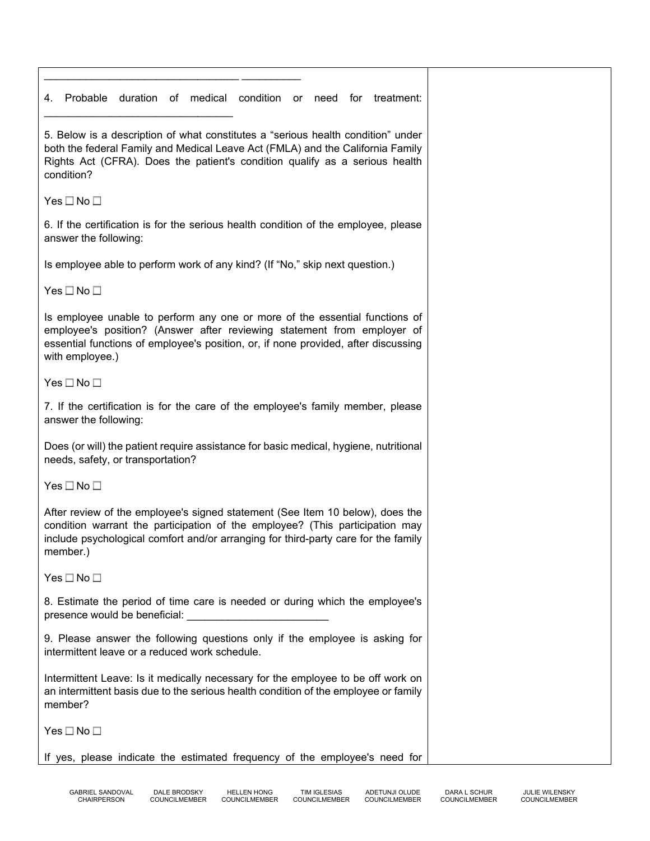\_\_\_\_\_\_\_\_\_\_\_\_\_\_\_\_\_\_\_\_\_\_\_\_\_\_\_\_\_\_\_\_\_ \_\_\_\_\_\_\_\_\_\_ 4. Probable duration of medical condition or need for treatment: \_\_\_\_\_\_\_\_\_\_\_\_\_\_\_\_\_\_\_\_\_\_\_\_\_\_\_\_\_\_\_\_ 5. Below is a description of what constitutes a "serious health condition" under both the federal Family and Medical Leave Act (FMLA) and the California Family Rights Act (CFRA). Does the patient's condition qualify as a serious health condition? Yes  $\square$  No  $\square$ 6. If the certification is for the serious health condition of the employee, please answer the following: Is employee able to perform work of any kind? (If "No," skip next question.) Yes  $\square$  No  $\square$ Is employee unable to perform any one or more of the essential functions of employee's position? (Answer after reviewing statement from employer of essential functions of employee's position, or, if none provided, after discussing with employee.) Yes  $\square$  No  $\square$ 7. If the certification is for the care of the employee's family member, please answer the following: Does (or will) the patient require assistance for basic medical, hygiene, nutritional needs, safety, or transportation? Yes  $\square$  No  $\square$ After review of the employee's signed statement (See Item 10 below), does the condition warrant the participation of the employee? (This participation may include psychological comfort and/or arranging for third-party care for the family member.) Yes  $\square$  No  $\square$ 8. Estimate the period of time care is needed or during which the employee's presence would be beneficial: 9. Please answer the following questions only if the employee is asking for intermittent leave or a reduced work schedule. Intermittent Leave: Is it medically necessary for the employee to be off work on an intermittent basis due to the serious health condition of the employee or family member? Yes  $\square$  No  $\square$ If yes, please indicate the estimated frequency of the employee's need for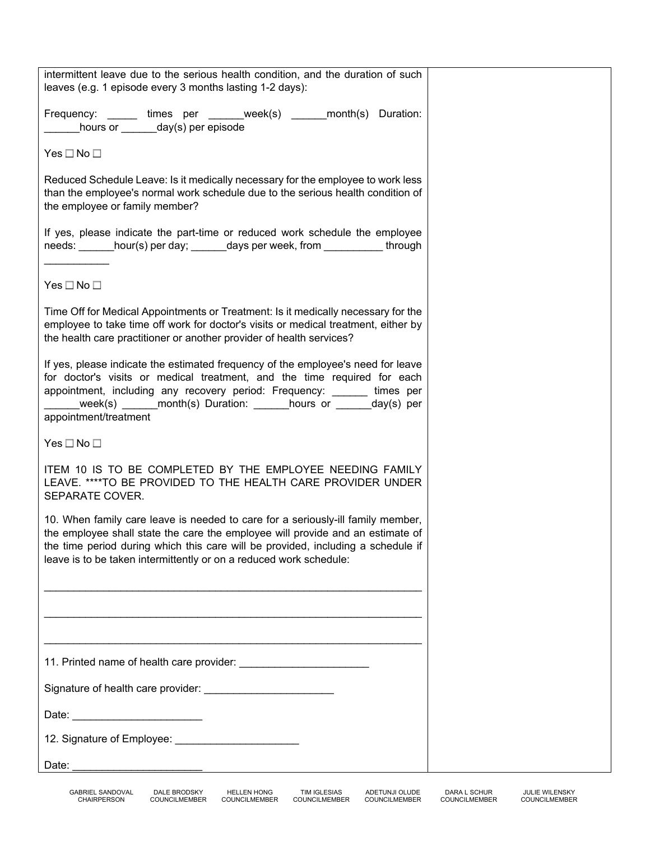| intermittent leave due to the serious health condition, and the duration of such                                                                                                                                                                                                                                                       |  |
|----------------------------------------------------------------------------------------------------------------------------------------------------------------------------------------------------------------------------------------------------------------------------------------------------------------------------------------|--|
| leaves (e.g. 1 episode every 3 months lasting 1-2 days):                                                                                                                                                                                                                                                                               |  |
| Frequency: ______ times per ______week(s) _____month(s) Duration:<br>hours or ______day(s) per episode                                                                                                                                                                                                                                 |  |
| $Yes \Box No \Box$                                                                                                                                                                                                                                                                                                                     |  |
| Reduced Schedule Leave: Is it medically necessary for the employee to work less<br>than the employee's normal work schedule due to the serious health condition of<br>the employee or family member?                                                                                                                                   |  |
| If yes, please indicate the part-time or reduced work schedule the employee<br>needs: _______hour(s) per day; _______days per week, from ____________through                                                                                                                                                                           |  |
| Yes $\square$ No $\square$                                                                                                                                                                                                                                                                                                             |  |
| Time Off for Medical Appointments or Treatment: Is it medically necessary for the<br>employee to take time off work for doctor's visits or medical treatment, either by<br>the health care practitioner or another provider of health services?                                                                                        |  |
| If yes, please indicate the estimated frequency of the employee's need for leave<br>for doctor's visits or medical treatment, and the time required for each<br>appointment, including any recovery period: Frequency: ______ times per<br>week(s) ______ month(s) Duration: _______hours or ______day(s) per<br>appointment/treatment |  |
| Yes $\square$ No $\square$                                                                                                                                                                                                                                                                                                             |  |
| ITEM 10 IS TO BE COMPLETED BY THE EMPLOYEE NEEDING FAMILY<br>LEAVE. ****TO BE PROVIDED TO THE HEALTH CARE PROVIDER UNDER<br>SEPARATE COVER.                                                                                                                                                                                            |  |
| 10. When family care leave is needed to care for a seriously-ill family member,<br>the employee shall state the care the employee will provide and an estimate of<br>the time period during which this care will be provided, including a schedule if<br>leave is to be taken intermittently or on a reduced work schedule:            |  |
|                                                                                                                                                                                                                                                                                                                                        |  |
|                                                                                                                                                                                                                                                                                                                                        |  |
|                                                                                                                                                                                                                                                                                                                                        |  |
| Signature of health care provider: __________________________                                                                                                                                                                                                                                                                          |  |
|                                                                                                                                                                                                                                                                                                                                        |  |
| 12. Signature of Employee: ___________________________                                                                                                                                                                                                                                                                                 |  |
| Date:                                                                                                                                                                                                                                                                                                                                  |  |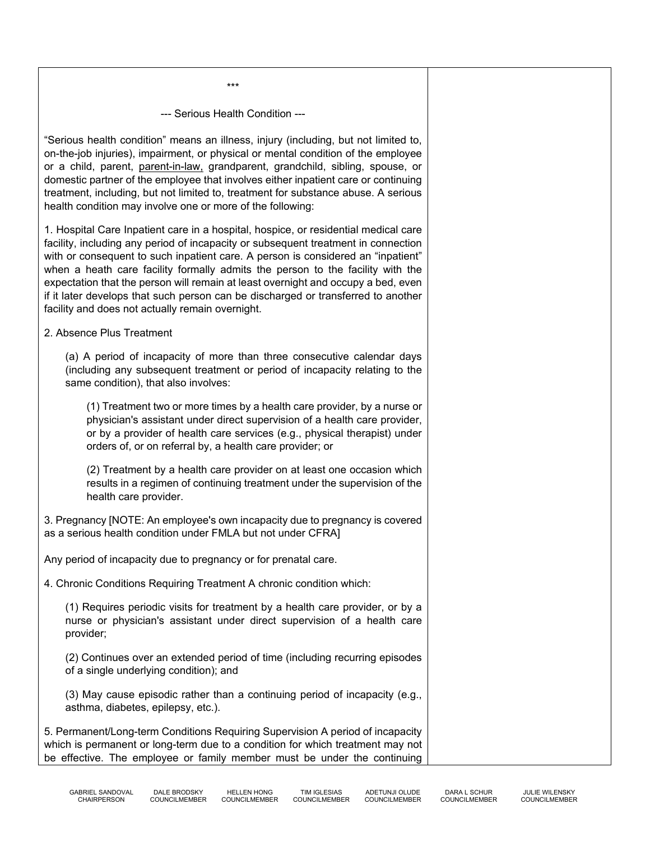--- Serious Health Condition ---

\*\*\*

"Serious health condition" means an illness, injury (including, but not limited to, on-the-job injuries), impairment, or physical or mental condition of the employee or a child, parent, parent-in-law, grandparent, grandchild, sibling, spouse, or domestic partner of the employee that involves either inpatient care or continuing treatment, including, but not limited to, treatment for substance abuse. A serious health condition may involve one or more of the following:

1. Hospital Care Inpatient care in a hospital, hospice, or residential medical care facility, including any period of incapacity or subsequent treatment in connection with or consequent to such inpatient care. A person is considered an "inpatient" when a heath care facility formally admits the person to the facility with the expectation that the person will remain at least overnight and occupy a bed, even if it later develops that such person can be discharged or transferred to another facility and does not actually remain overnight.

2. Absence Plus Treatment

(a) A period of incapacity of more than three consecutive calendar days (including any subsequent treatment or period of incapacity relating to the same condition), that also involves:

(1) Treatment two or more times by a health care provider, by a nurse or physician's assistant under direct supervision of a health care provider, or by a provider of health care services (e.g., physical therapist) under orders of, or on referral by, a health care provider; or

(2) Treatment by a health care provider on at least one occasion which results in a regimen of continuing treatment under the supervision of the health care provider.

3. Pregnancy [NOTE: An employee's own incapacity due to pregnancy is covered as a serious health condition under FMLA but not under CFRA]

Any period of incapacity due to pregnancy or for prenatal care.

4. Chronic Conditions Requiring Treatment A chronic condition which:

(1) Requires periodic visits for treatment by a health care provider, or by a nurse or physician's assistant under direct supervision of a health care provider;

(2) Continues over an extended period of time (including recurring episodes of a single underlying condition); and

(3) May cause episodic rather than a continuing period of incapacity (e.g., asthma, diabetes, epilepsy, etc.).

5. Permanent/Long-term Conditions Requiring Supervision A period of incapacity which is permanent or long-term due to a condition for which treatment may not be effective. The employee or family member must be under the continuing